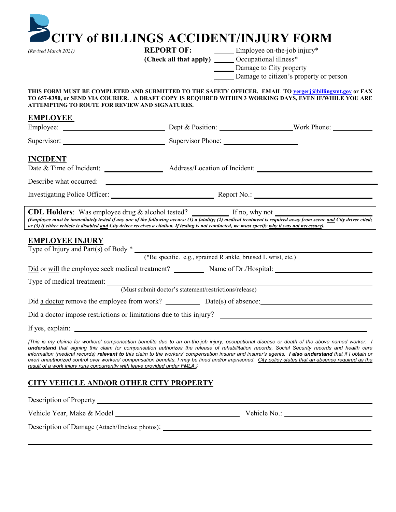| (Revised March 2021)                                                       | <b>CITY of BILLINGS ACCIDENT/INJURY FORM</b><br><b>REPORT OF:</b> Employee on-the-job injury*         |                                                                                                                                                                                                                                                                                                                                                                                                                                                                                                                                                                                                                 |
|----------------------------------------------------------------------------|-------------------------------------------------------------------------------------------------------|-----------------------------------------------------------------------------------------------------------------------------------------------------------------------------------------------------------------------------------------------------------------------------------------------------------------------------------------------------------------------------------------------------------------------------------------------------------------------------------------------------------------------------------------------------------------------------------------------------------------|
|                                                                            | (Check all that apply) _______ Occupational illness*                                                  |                                                                                                                                                                                                                                                                                                                                                                                                                                                                                                                                                                                                                 |
|                                                                            |                                                                                                       | Damage to City property                                                                                                                                                                                                                                                                                                                                                                                                                                                                                                                                                                                         |
|                                                                            |                                                                                                       | Damage to citizen's property or person                                                                                                                                                                                                                                                                                                                                                                                                                                                                                                                                                                          |
| ATTEMPTING TO ROUTE FOR REVIEW AND SIGNATURES.                             |                                                                                                       | THIS FORM MUST BE COMPLETED AND SUBMITTED TO THE SAFETY OFFICER. EMAIL TO <b>yergerj@billingsmt.gov</b> or FAX<br>TO 657-8390, or SEND VIA COURIER. A DRAFT COPY IS REQUIRED WITHIN 3 WORKING DAYS, EVEN IF/WHILE YOU ARE                                                                                                                                                                                                                                                                                                                                                                                       |
| <b>EMPLOYEE</b>                                                            |                                                                                                       |                                                                                                                                                                                                                                                                                                                                                                                                                                                                                                                                                                                                                 |
|                                                                            |                                                                                                       |                                                                                                                                                                                                                                                                                                                                                                                                                                                                                                                                                                                                                 |
|                                                                            | Supervisor: Supervisor Phone:                                                                         |                                                                                                                                                                                                                                                                                                                                                                                                                                                                                                                                                                                                                 |
| <b>INCIDENT</b>                                                            |                                                                                                       |                                                                                                                                                                                                                                                                                                                                                                                                                                                                                                                                                                                                                 |
|                                                                            |                                                                                                       | Date & Time of Incident: Address/Location of Incident:                                                                                                                                                                                                                                                                                                                                                                                                                                                                                                                                                          |
|                                                                            | Describe what occurred:                                                                               |                                                                                                                                                                                                                                                                                                                                                                                                                                                                                                                                                                                                                 |
|                                                                            |                                                                                                       |                                                                                                                                                                                                                                                                                                                                                                                                                                                                                                                                                                                                                 |
|                                                                            |                                                                                                       |                                                                                                                                                                                                                                                                                                                                                                                                                                                                                                                                                                                                                 |
| <b>EMPLOYEE INJURY</b>                                                     |                                                                                                       | CDL Holders: Was employee drug & alcohol tested? ___________ If no, why not ________________________<br>(Employee must be immediately tested if any one of the following occurs: $(I)$ a fatality; (2) medical treatment is required away from scene and City driver cited;<br>or (3) if either vehicle is disabled <u>and</u> City driver receives a citation. If testing is not conducted, we must specify why it was not necessary).                                                                                                                                                                         |
|                                                                            |                                                                                                       |                                                                                                                                                                                                                                                                                                                                                                                                                                                                                                                                                                                                                 |
|                                                                            | Type of Injury and Part(s) of Body *<br>(*Be specific. e.g., sprained R ankle, bruised L wrist, etc.) |                                                                                                                                                                                                                                                                                                                                                                                                                                                                                                                                                                                                                 |
|                                                                            |                                                                                                       | Did or will the employee seek medical treatment? Name of Dr./Hospital:                                                                                                                                                                                                                                                                                                                                                                                                                                                                                                                                          |
|                                                                            |                                                                                                       |                                                                                                                                                                                                                                                                                                                                                                                                                                                                                                                                                                                                                 |
|                                                                            | Type of medical treatment: (Must submit doctor's statement/restrictions/release)                      |                                                                                                                                                                                                                                                                                                                                                                                                                                                                                                                                                                                                                 |
|                                                                            |                                                                                                       |                                                                                                                                                                                                                                                                                                                                                                                                                                                                                                                                                                                                                 |
|                                                                            |                                                                                                       | Did a doctor impose restrictions or limitations due to this injury?                                                                                                                                                                                                                                                                                                                                                                                                                                                                                                                                             |
|                                                                            | If yes, explain:                                                                                      |                                                                                                                                                                                                                                                                                                                                                                                                                                                                                                                                                                                                                 |
| result of a work injury runs concurrently with leave provided under FMLA.} |                                                                                                       | {This is my claims for workers' compensation benefits due to an on-the-job injury, occupational disease or death of the above named worker. I<br>understand that signing this claim for compensation authorizes the release of rehabilitation records, Social Security records and health care<br>information (medical records) relevant to this claim to the workers' compensation insurer and insurer's agents. I also understand that if I obtain or<br>exert unauthorized control over workers' compensation benefits, I may be fined and/or imprisoned. City policy states that an absence required as the |
| <b>CITY VEHICLE AND/OR OTHER CITY PROPERTY</b>                             |                                                                                                       |                                                                                                                                                                                                                                                                                                                                                                                                                                                                                                                                                                                                                 |
|                                                                            |                                                                                                       |                                                                                                                                                                                                                                                                                                                                                                                                                                                                                                                                                                                                                 |
|                                                                            |                                                                                                       | Vehicle No.:                                                                                                                                                                                                                                                                                                                                                                                                                                                                                                                                                                                                    |